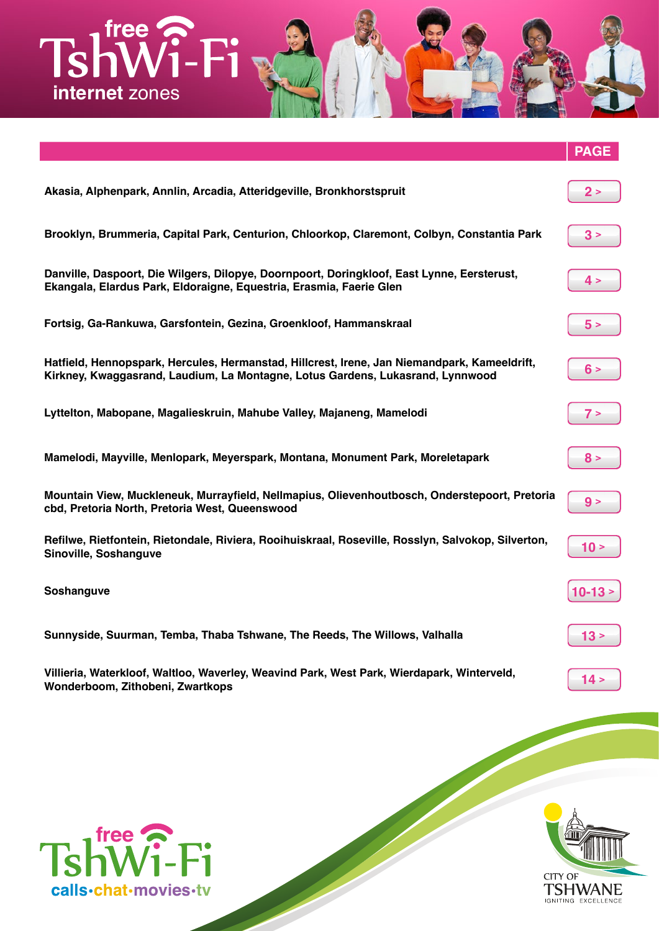<span id="page-0-0"></span>

|                                                                                                                                                                                | <b>PAGE</b> |
|--------------------------------------------------------------------------------------------------------------------------------------------------------------------------------|-------------|
| Akasia, Alphenpark, Annlin, Arcadia, Atteridgeville, Bronkhorstspruit                                                                                                          | 2 >         |
| Brooklyn, Brummeria, Capital Park, Centurion, Chloorkop, Claremont, Colbyn, Constantia Park                                                                                    | 3 >         |
| Danville, Daspoort, Die Wilgers, Dilopye, Doornpoort, Doringkloof, East Lynne, Eersterust,<br>Ekangala, Elardus Park, Eldoraigne, Equestria, Erasmia, Faerie Glen              | 4 >         |
| Fortsig, Ga-Rankuwa, Garsfontein, Gezina, Groenkloof, Hammanskraal                                                                                                             | 5 >         |
| Hatfield, Hennopspark, Hercules, Hermanstad, Hillcrest, Irene, Jan Niemandpark, Kameeldrift,<br>Kirkney, Kwaggasrand, Laudium, La Montagne, Lotus Gardens, Lukasrand, Lynnwood | 6 >         |
| Lyttelton, Mabopane, Magalieskruin, Mahube Valley, Majaneng, Mamelodi                                                                                                          | 7 >         |
| Mamelodi, Mayville, Menlopark, Meyerspark, Montana, Monument Park, Moreletapark                                                                                                | 8 >         |
| Mountain View, Muckleneuk, Murrayfield, Nellmapius, Olievenhoutbosch, Onderstepoort, Pretoria<br>cbd, Pretoria North, Pretoria West, Queenswood                                | 9 >         |
| Refilwe, Rietfontein, Rietondale, Riviera, Rooihuiskraal, Roseville, Rosslyn, Salvokop, Silverton,<br>Sinoville, Soshanguve                                                    | 10 >        |
| Soshanguve                                                                                                                                                                     | $10-13 >$   |
| Sunnyside, Suurman, Temba, Thaba Tshwane, The Reeds, The Willows, Valhalla                                                                                                     | 13 >        |
| Villieria, Waterkloof, Waltloo, Waverley, Weavind Park, West Park, Wierdapark, Winterveld,<br>Wonderboom, Zithobeni, Zwartkops                                                 | 14 >        |



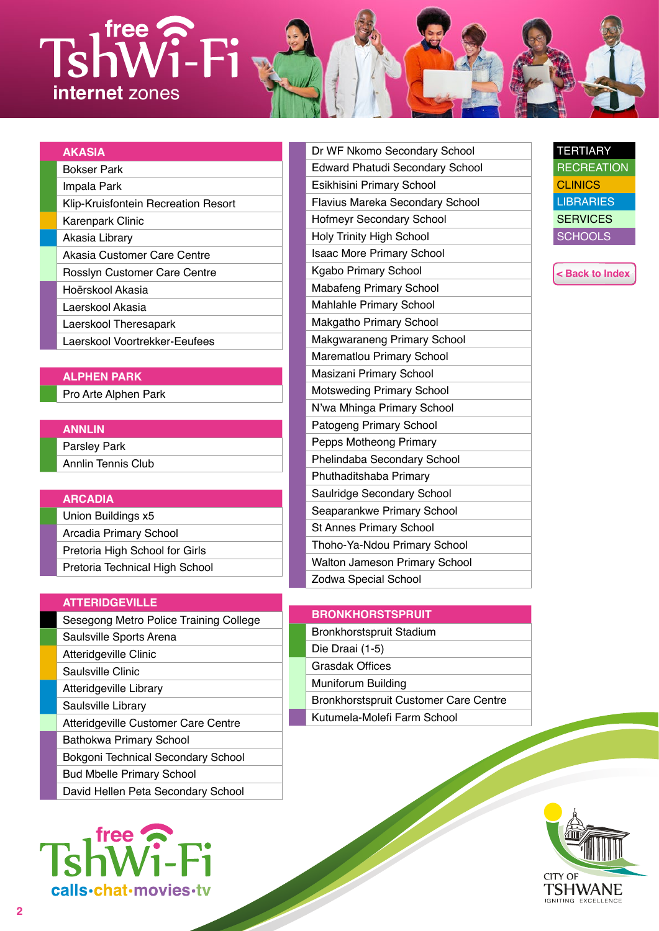<span id="page-1-0"></span>

| <b>AKASIA</b>                       |
|-------------------------------------|
| <b>Bokser Park</b>                  |
| Impala Park                         |
| Klip-Kruisfontein Recreation Resort |
| <b>Karenpark Clinic</b>             |
| Akasia Library                      |
| Akasia Customer Care Centre         |

Rosslyn Customer Care Centre Hoërskool Akasia

- Laerskool Akasia
- Laerskool Theresapark
- Laerskool Voortrekker-Eeufees

#### **ALPHEN PARK**

Pro Arte Alphen Park

#### **ANNLIN**

Parsley Park Annlin Tennis Club

#### **ARCADIA**

Union Buildings x5 Arcadia Primary School Pretoria High School for Girls Pretoria Technical High School

#### **ATTERIDGEVILLE**

| Sesegong Metro Police Training College    |
|-------------------------------------------|
| Saulsville Sports Arena                   |
| Atteridgeville Clinic                     |
| Saulsville Clinic                         |
| Atteridgeville Library                    |
| Saulsville Library                        |
| Atteridgeville Customer Care Centre       |
| Bathokwa Primary School                   |
| <b>Bokgoni Technical Secondary School</b> |
| <b>Bud Mbelle Primary School</b>          |
| David Hellen Peta Secondary School        |



Dr WF Nkomo Secondary School Edward Phatudi Secondary School Esikhisini Primary School Flavius Mareka Secondary School Hofmeyr Secondary School Holy Trinity High School Isaac More Primary School Kgabo Primary School Mabafeng Primary School Mahlahle Primary School Makgatho Primary School Makgwaraneng Primary School Marematlou Primary School Masizani Primary School Motsweding Primary School N'wa Mhinga Primary School Patogeng Primary School Pepps Motheong Primary Phelindaba Secondary School Phuthaditshaba Primary Saulridge Secondary School Seaparankwe Primary School St Annes Primary School Thoho-Ya-Ndou Primary School Walton Jameson Primary School Zodwa Special School

#### **BRONKHORSTSPRUIT**

| <b>Bronkhorstspruit Stadium</b>              |
|----------------------------------------------|
| Die Draai (1-5)                              |
| Grasdak Offices                              |
| Muniforum Building                           |
| <b>Bronkhorstspruit Customer Care Centre</b> |
| Kutumela-Molefi Farm School                  |
|                                              |



**TERTIARY RECREATION CLINICS LIBRARIES SERVICES SCHOOLS**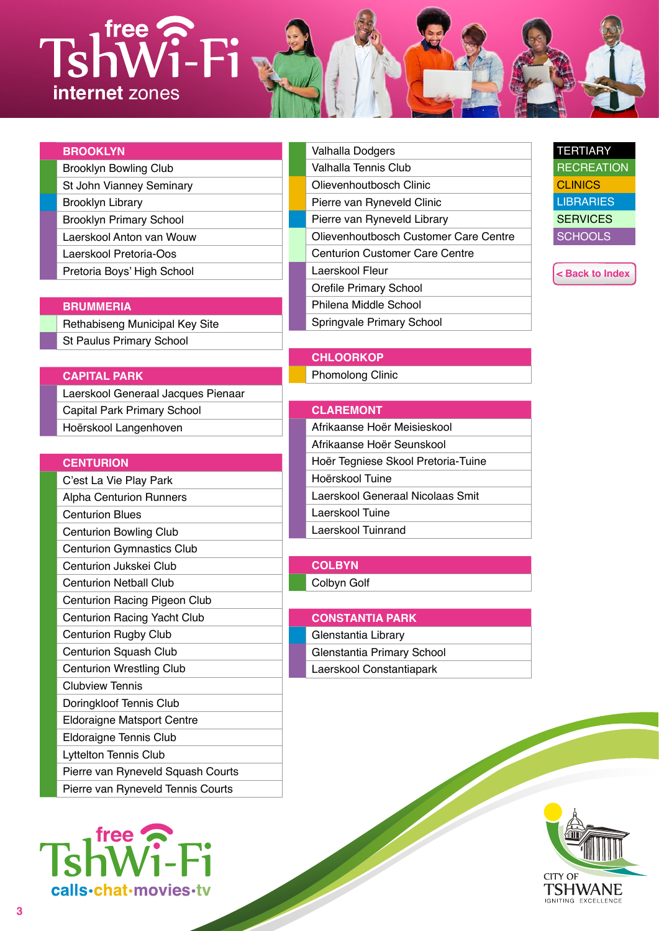<span id="page-2-0"></span>

| <b>BROOKLYN</b>                |
|--------------------------------|
| <b>Brooklyn Bowling Club</b>   |
| St John Vianney Seminary       |
| <b>Brooklyn Library</b>        |
| <b>Brooklyn Primary School</b> |
| Laerskool Anton van Wouw       |
| Laerskool Pretoria-Oos         |
| Pretoria Boys' High School     |
|                                |

#### **BRUMMERIA**

Rethabiseng Municipal Key Site St Paulus Primary School

#### **CAPITAL PARK**

Laerskool Generaal Jacques Pienaar Capital Park Primary School Hoërskool Langenhoven

#### **CENTURION**

C'est La Vie Play Park Alpha Centurion Runners Centurion Blues Centurion Bowling Club Centurion Gymnastics Club Centurion Jukskei Club Centurion Netball Club Centurion Racing Pigeon Club Centurion Racing Yacht Club Centurion Rugby Club Centurion Squash Club Centurion Wrestling Club Clubview Tennis Doringkloof Tennis Club Eldoraigne Matsport Centre Eldoraigne Tennis Club Lyttelton Tennis Club Pierre van Ryneveld Squash Courts Pierre van Ryneveld Tennis Courts



| Valhalla Dodgers                      |
|---------------------------------------|
| Valhalla Tennis Club                  |
| Olievenhoutbosch Clinic               |
| Pierre van Ryneveld Clinic            |
| Pierre van Ryneveld Library           |
| Olievenhoutbosch Customer Care Centre |
| Centurion Customer Care Centre        |
| Laerskool Fleur                       |
| Orefile Primary School                |
| Philena Middle School                 |
| Springvale Primary School             |



**[< Back to Index](#page-0-0)**

#### **CHLOORKOP** Phomolong Clinic

| <b>CLAREMONT</b>                   |  |
|------------------------------------|--|
| Afrikaanse Hoër Meisieskool        |  |
| Afrikaanse Hoër Seunskool          |  |
| Hoër Tegniese Skool Pretoria-Tuine |  |
| Hoërskool Tuine                    |  |
| Laerskool Generaal Nicolaas Smit   |  |
| Laerskool Tuine                    |  |
| Laerskool Tuinrand                 |  |

### **COLBYN**

Colbyn Golf

#### **CONSTANTIA PARK**

| Glenstantia Library        |
|----------------------------|
| Glenstantia Primary School |
| Laerskool Constantiapark   |

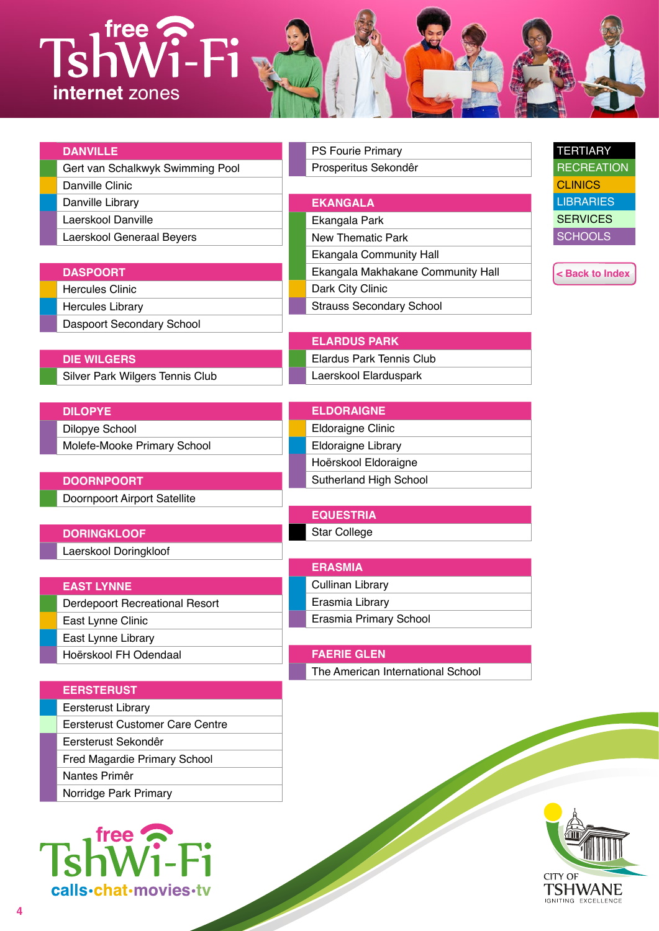<span id="page-3-0"></span>

| <b>DANVILLE</b>                  |
|----------------------------------|
| Gert van Schalkwyk Swimming Pool |
| Danville Clinic                  |
| Danville Library                 |
| Laerskool Danville               |
| Laerskool Generaal Beyers        |

| <b>DASPOORT</b>         |
|-------------------------|
| <b>Hercules Clinic</b>  |
| <b>Hercules Library</b> |

**DIE WILGERS**

Daspoort Secondary School

Silver Park Wilgers Tennis Club

**DILOPYE** Dilopye School Molefe-Mooke Primary School

**DOORNPOORT** Doornpoort Airport Satellite

**DORINGKLOOF** Laerskool Doringkloof

| <b>EAST LYNNE</b> |                                |
|-------------------|--------------------------------|
|                   | Derdepoort Recreational Resort |

East Lynne Clinic East Lynne Library Hoërskool FH Odendaal

| <b>EERSTERUST</b>                   |
|-------------------------------------|
| <b>Eersterust Library</b>           |
| Eersterust Customer Care Centre     |
| Eersterust Sekondêr                 |
| <b>Fred Magardie Primary School</b> |
| Nantes Primêr                       |
| Norridge Park Primary               |



| <b>PS Fourie Primary</b> |  |
|--------------------------|--|
| Prosperitus Sekondêr     |  |
|                          |  |

| <b>EKANGALA</b>                   |
|-----------------------------------|
| Ekangala Park                     |
| New Thematic Park                 |
| Ekangala Community Hall           |
| Ekangala Makhakane Community Hall |
| Dark City Clinic                  |
| <b>Strauss Secondary School</b>   |

| <b>ELARDUS PARK</b>      |
|--------------------------|
| Elardus Park Tennis Club |
| Laerskool Elarduspark    |
|                          |

| <b>ELDORAIGNE</b>         |  |
|---------------------------|--|
| <b>Eldoraigne Clinic</b>  |  |
| <b>Eldoraigne Library</b> |  |
| Hoërskool Eldoraigne      |  |
| Sutherland High School    |  |

**EQUESTRIA** Star College

| <b>ERASMIA</b>         |
|------------------------|
| Cullinan Library       |
| Erasmia Library        |
| Erasmia Primary School |
|                        |

**FAERIE GLEN** The American International School



**TERTIARY RECREATION** 

**CLINICS LIBRARIES SERVICES SCHOOLS**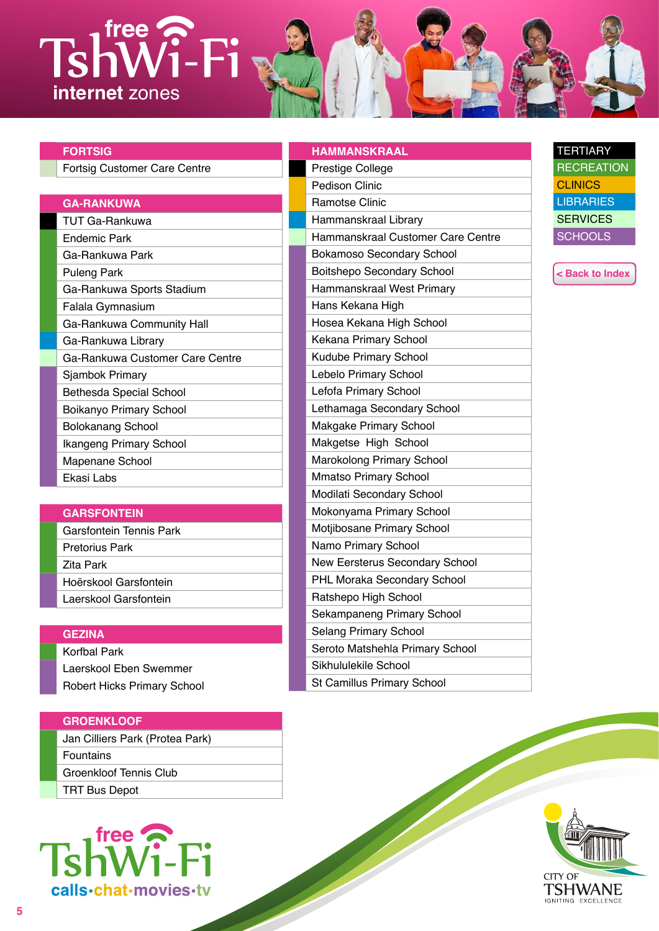<span id="page-4-0"></span>

| <b>FORTSIG</b>                      | <b>HAMMANSKRAAL</b>            |
|-------------------------------------|--------------------------------|
| <b>Fortsig Customer Care Centre</b> | Prestige College               |
|                                     | Pedison Clinic                 |
| <b>GA-RANKUWA</b>                   | <b>Ramotse Clinic</b>          |
| <b>TUT Ga-Rankuwa</b>               | Hammanskraal Library           |
| <b>Endemic Park</b>                 | Hammanskraal Customer C        |
| Ga-Rankuwa Park                     | <b>Bokamoso Secondary Scho</b> |
| <b>Puleng Park</b>                  | Boitshepo Secondary Scho       |
| Ga-Rankuwa Sports Stadium           | Hammanskraal West Prima        |
| Falala Gymnasium                    | Hans Kekana High               |
| Ga-Rankuwa Community Hall           | Hosea Kekana High Schoo        |
| Ga-Rankuwa Library                  | Kekana Primary School          |
| Ga-Rankuwa Customer Care Centre     | Kudube Primary School          |
| Sjambok Primary                     | Lebelo Primary School          |
| <b>Bethesda Special School</b>      | Lefofa Primary School          |
| Boikanyo Primary School             | Lethamaga Secondary Sch        |
| <b>Bolokanang School</b>            | Makgake Primary School         |
| <b>Ikangeng Primary School</b>      | Makgetse High School           |
| Mapenane School                     | Marokolong Primary Schoo       |
| Ekasi Labs                          | <b>Mmatso Primary School</b>   |
|                                     | Modilati Secondary School      |
|                                     |                                |

#### **GARSFONTEIN**

| Garsfontein Tennis Park |
|-------------------------|
| <b>Pretorius Park</b>   |
| Zita Park               |
| Hoërskool Garsfontein   |
| Laerskool Garsfontein   |
|                         |

#### **GEZINA**

Korfbal Park Laerskool Eben Swemmer Robert Hicks Primary School

#### **GROENKLOOF**

Jan Cilliers Park (Protea Park) Fountains Groenkloof Tennis Club TRT Bus Depot



| <b>HAMMANSKRAAL</b>               |
|-----------------------------------|
| Prestige College                  |
| <b>Pedison Clinic</b>             |
| <b>Ramotse Clinic</b>             |
| Hammanskraal Library              |
| Hammanskraal Customer Care Centre |
| <b>Bokamoso Secondary School</b>  |
| <b>Boitshepo Secondary School</b> |
| Hammanskraal West Primary         |
| Hans Kekana High                  |
| Hosea Kekana High School          |
| Kekana Primary School             |
| Kudube Primary School             |
| Lebelo Primary School             |
| Lefofa Primary School             |
| Lethamaga Secondary School        |
| Makgake Primary School            |
| Makgetse High School              |
| Marokolong Primary School         |
| <b>Mmatso Primary School</b>      |
| Modilati Secondary School         |
| Mokonyama Primary School          |
| Motjibosane Primary School        |
| Namo Primary School               |
| New Eersterus Secondary School    |
| PHL Moraka Secondary School       |
| Ratshepo High School              |
| Sekampaneng Primary School        |
| <b>Selang Primary School</b>      |
| Seroto Matshehla Primary School   |
| Sikhululekile School              |
| St Camillus Primary School        |





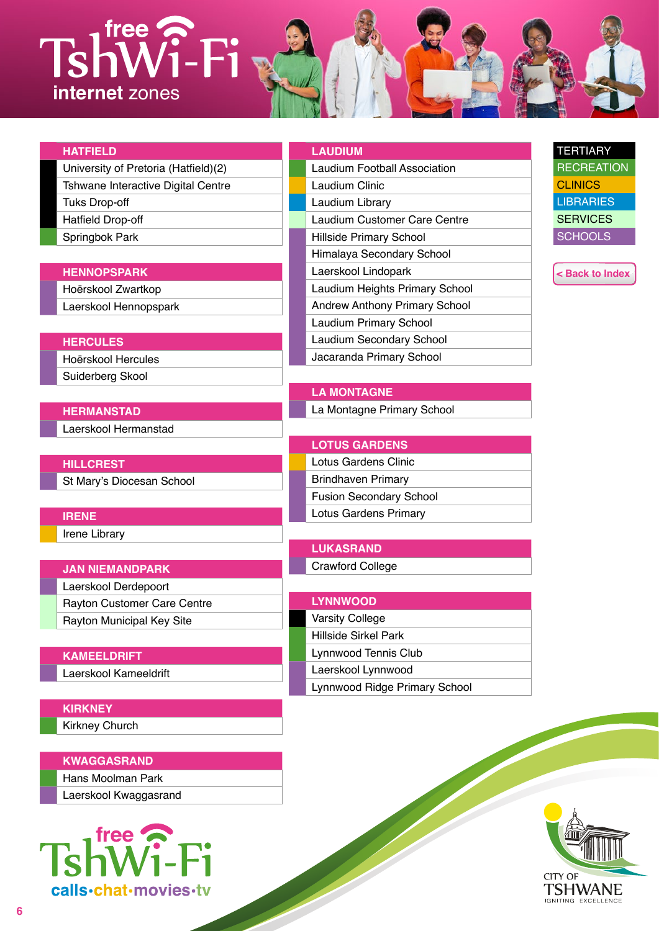<span id="page-5-0"></span>

| <b>HATFIELD</b>                      |
|--------------------------------------|
| University of Pretoria (Hatfield)(2) |
| Tshwane Interactive Digital Centre   |
| <b>Tuks Drop-off</b>                 |
| <b>Hatfield Drop-off</b>             |
| Springbok Park                       |
|                                      |

#### **HENNOPSPARK**

Hoërskool Zwartkop Laerskool Hennopspark

#### **HERCULES**

Hoërskool Hercules Suiderberg Skool

**HERMANSTAD** Laerskool Hermanstad

**HILLCREST** St Mary's Diocesan School

**IRENE** Irene Library

#### **JAN NIEMANDPARK**

Laerskool Derdepoort Rayton Customer Care Centre Rayton Municipal Key Site

### **KAMEELDRIFT**

Laerskool Kameeldrift

**KIRKNEY** Kirkney Church

#### **KWAGGASRAND**

Hans Moolman Park Laerskool Kwaggasrand



| <b>LAUDIUM</b>                       |
|--------------------------------------|
| Laudium Football Association         |
| Laudium Clinic                       |
| Laudium Library                      |
| Laudium Customer Care Centre         |
| <b>Hillside Primary School</b>       |
| Himalaya Secondary School            |
| Laerskool Lindopark                  |
| Laudium Heights Primary School       |
| <b>Andrew Anthony Primary School</b> |

Laudium Primary School Laudium Secondary School Jacaranda Primary School

**LA MONTAGNE** La Montagne Primary School

**LOTUS GARDENS** Lotus Gardens Clinic Brindhaven Primary Fusion Secondary School Lotus Gardens Primary

**LUKASRAND** Crawford College

| <b>LYNNWOOD</b>               |
|-------------------------------|
| <b>Varsity College</b>        |
| Hillside Sirkel Park          |
| Lynnwood Tennis Club          |
| Laerskool Lynnwood            |
| Lynnwood Ridge Primary School |





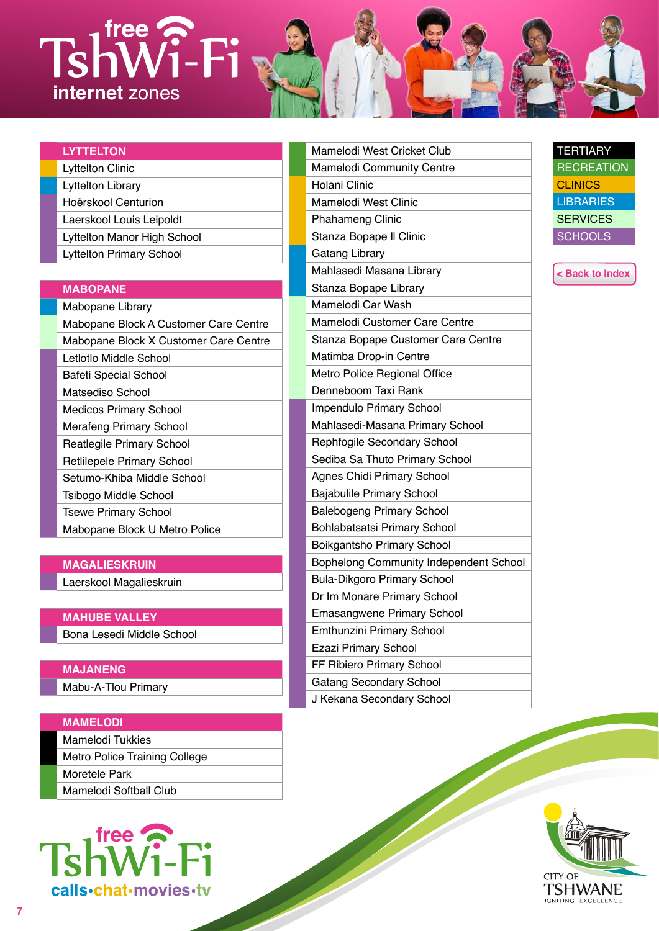<span id="page-6-0"></span>

| <b>LYTTELTON</b>                |
|---------------------------------|
| <b>Lyttelton Clinic</b>         |
| Lyttelton Library               |
| Hoërskool Centurion             |
| Laerskool Louis Leipoldt        |
| Lyttelton Manor High School     |
| <b>Lyttelton Primary School</b> |

#### **MABOPANE**

| Mabopane Library                      |
|---------------------------------------|
| Mabopane Block A Customer Care Centre |
| Mabopane Block X Customer Care Centre |
| Letlotlo Middle School                |
| <b>Bafeti Special School</b>          |
| Matsediso School                      |
| <b>Medicos Primary School</b>         |
| Merafeng Primary School               |
| <b>Reatlegile Primary School</b>      |
| <b>Retlilepele Primary School</b>     |
| Setumo-Khiba Middle School            |
| Tsibogo Middle School                 |
| <b>Tsewe Primary School</b>           |
| Mabopane Block U Metro Police         |
|                                       |

#### **MAGALIESKRUIN**

Laerskool Magalieskruin

### **MAHUBE VALLEY**

Bona Lesedi Middle School

### **MAJANENG**

Mabu-A-Tlou Primary

### **MAMELODI**

Mamelodi Tukkies Metro Police Training College Moretele Park Mamelodi Softball Club



| Mamelodi West Cricket Club                    |
|-----------------------------------------------|
| <b>Mamelodi Community Centre</b>              |
| Holani Clinic                                 |
| Mamelodi West Clinic                          |
| <b>Phahameng Clinic</b>                       |
| Stanza Bopape II Clinic                       |
| Gatang Library                                |
| Mahlasedi Masana Library                      |
| Stanza Bopape Library                         |
| Mamelodi Car Wash                             |
| Mamelodi Customer Care Centre                 |
| Stanza Bopape Customer Care Centre            |
| Matimba Drop-in Centre                        |
| Metro Police Regional Office                  |
| Denneboom Taxi Rank                           |
| Impendulo Primary School                      |
| Mahlasedi-Masana Primary School               |
| Rephfogile Secondary School                   |
| Sediba Sa Thuto Primary School                |
| <b>Agnes Chidi Primary School</b>             |
| <b>Bajabulile Primary School</b>              |
| <b>Balebogeng Primary School</b>              |
| Bohlabatsatsi Primary School                  |
| <b>Boikgantsho Primary School</b>             |
| <b>Bophelong Community Independent School</b> |
| <b>Bula-Dikgoro Primary School</b>            |
| Dr Im Monare Primary School                   |
| <b>Emasangwene Primary School</b>             |
| <b>Emthunzini Primary School</b>              |
| <b>Ezazi Primary School</b>                   |
| FF Ribiero Primary School                     |
| <b>Gatang Secondary School</b>                |
| J Kekana Secondary School                     |



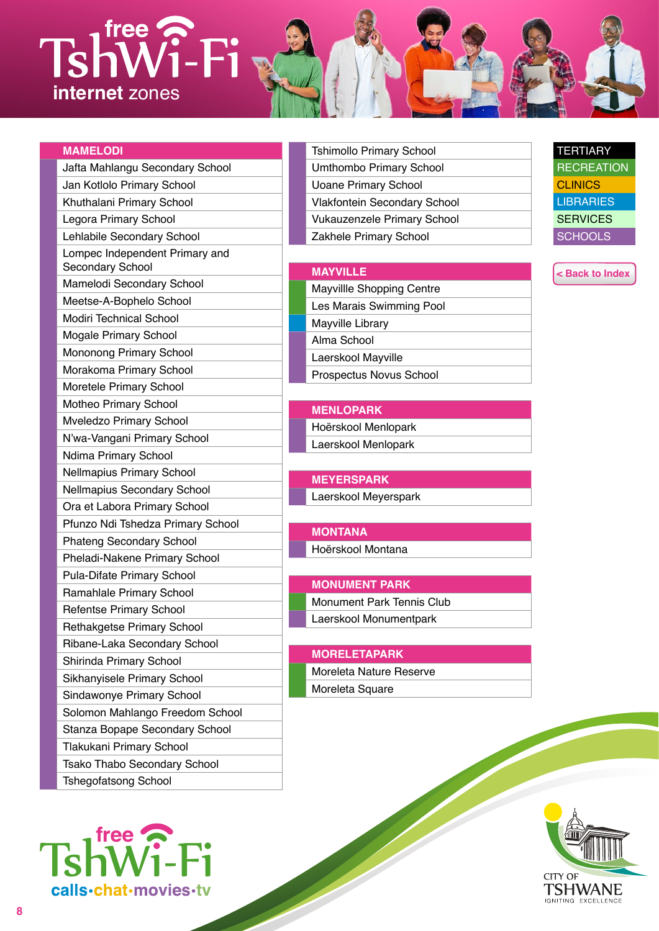#### <span id="page-7-0"></span>**MAMELODI**

Jafta Mahlangu Secondary School Jan Kotlolo Primary School Khuthalani Primary School Legora Primary School Lehlabile Secondary School Lompec Independent Primary and Secondary School Mamelodi Secondary School Meetse-A-Bophelo School Modiri Technical School Mogale Primary School Mononong Primary School Morakoma Primary School Moretele Primary School Motheo Primary School Mveledzo Primary School N'wa-Vangani Primary School Ndima Primary School Nellmapius Primary School Nellmapius Secondary School Ora et Labora Primary School Pfunzo Ndi Tshedza Primary School Phateng Secondary School Pheladi-Nakene Primary School Pula-Difate Primary School Ramahlale Primary School Refentse Primary School Rethakgetse Primary School Ribane-Laka Secondary School Shirinda Primary School Sikhanyisele Primary School Sindawonye Primary School Solomon Mahlango Freedom School Stanza Bopape Secondary School Tlakukani Primary School Tsako Thabo Secondary School Tshegofatsong School



Tshimollo Primary School Umthombo Primary School Uoane Primary School Vlakfontein Secondary School Vukauzenzele Primary School Zakhele Primary School

### **MAYVILLE** Mayvillle Shopping Centre Les Marais Swimming Pool Mayville Library Alma School Laerskool Mayville Prospectus Novus School

**MENLOPARK** Hoërskool Menlopark Laerskool Menlopark

**MEYERSPARK** Laerskool Meyerspark

**MONTANA** Hoërskool Montana

#### **MONUMENT PARK**

Monument Park Tennis Club Laerskool Monumentpark

#### **MORELETAPARK**

Moreleta Nature Reserve Moreleta Square



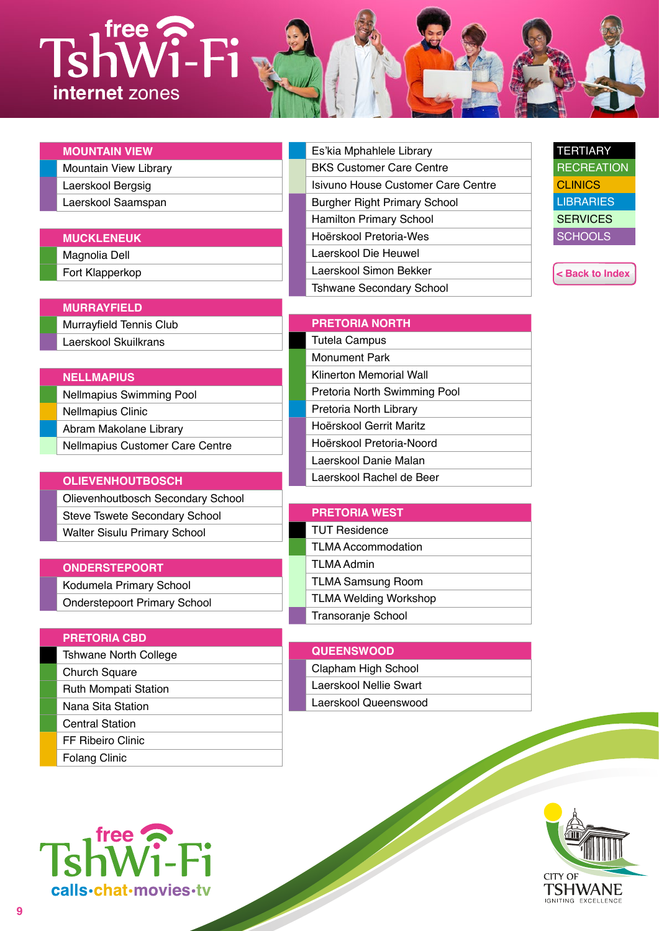<span id="page-8-0"></span>

| <b>MOUNTAIN VIEW</b>  |
|-----------------------|
| Mountain View Library |
| Laerskool Bergsig     |
| Laerskool Saamspan    |

#### **MUCKLENEUK**

Magnolia Dell Fort Klapperkop

**MURRAYFIELD**

Murrayfield Tennis Club Laerskool Skuilkrans

#### **NELLMAPIUS**

Nellmapius Swimming Pool Nellmapius Clinic Abram Makolane Library Nellmapius Customer Care Centre

#### **OLIEVENHOUTBOSCH**

Olievenhoutbosch Secondary School Steve Tswete Secondary School Walter Sisulu Primary School

#### **ONDERSTEPOORT**

Kodumela Primary School Onderstepoort Primary School

#### **PRETORIA CBD**

Tshwane North College Church Square Ruth Mompati Station Nana Sita Station Central Station FF Ribeiro Clinic Folang Clinic





**[< Back to Index](#page-0-0)**

**PRETORIA NORTH**

| Tutela Campus                |
|------------------------------|
| Monument Park                |
| Klinerton Memorial Wall      |
| Pretoria North Swimming Pool |
| Pretoria North Library       |
| Hoërskool Gerrit Maritz      |
| Hoërskool Pretoria-Noord     |
| Laerskool Danie Malan        |
| Laerskool Rachel de Beer     |

| <b>PRETORIA WEST</b>         |
|------------------------------|
| <b>TUT Residence</b>         |
| TLMA Accommodation           |
| TLMA Admin                   |
| <b>TLMA Samsung Room</b>     |
| <b>TLMA Welding Workshop</b> |
| Transoranje School           |

| <b>QUEENSWOOD</b>      |
|------------------------|
| Clapham High School    |
| Laerskool Nellie Swart |
| Laerskool Queenswood   |



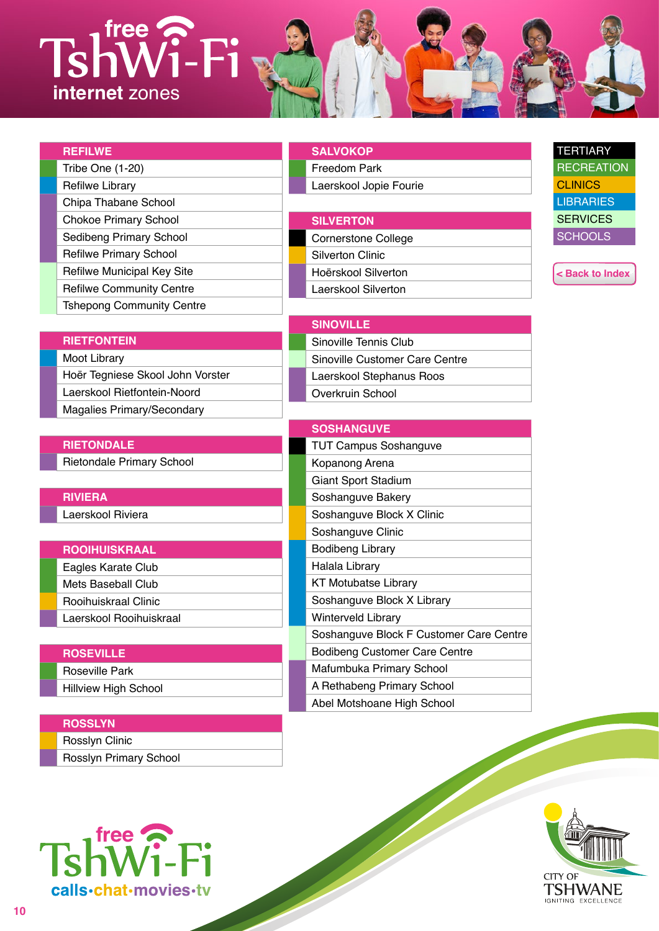<span id="page-9-0"></span>

| <b>REFILWE</b>                    |
|-----------------------------------|
| Tribe One (1-20)                  |
| <b>Refilwe Library</b>            |
| Chipa Thabane School              |
| <b>Chokoe Primary School</b>      |
| <b>Sedibeng Primary School</b>    |
| <b>Refilwe Primary School</b>     |
| <b>Refilwe Municipal Key Site</b> |
| <b>Refilwe Community Centre</b>   |
| <b>Tshepong Community Centre</b>  |

#### **RIETFONTEIN**

| Moot Library                     |
|----------------------------------|
| Hoër Tegniese Skool John Vorster |
| Laerskool Rietfontein-Noord      |
| Magalies Primary/Secondary       |

#### **RIETONDALE**

Rietondale Primary School

#### **RIVIERA**

Laerskool Riviera

#### **ROOIHUISKRAAL**

| Eagles Karate Club      |
|-------------------------|
| Mets Baseball Club      |
| Rooihuiskraal Clinic    |
| Laerskool Rooihuiskraal |

#### **ROSEVILLE**

Roseville Park Hillview High School

### **ROSSLYN**

Rosslyn Clinic Rosslyn Primary School

### **SALVOKOP** Freedom Park Laerskool Jopie Fourie

| <b>SILVERTON</b>           |
|----------------------------|
| <b>Cornerstone College</b> |
| Silverton Clinic           |
| Hoërskool Silverton        |
| Laerskool Silverton        |

| <b>SINOVILLE</b>               |
|--------------------------------|
| Sinoville Tennis Club          |
| Sinoville Customer Care Centre |
| Laerskool Stephanus Roos       |
| Overkruin School               |

| <b>SOSHANGUVE</b>                       |
|-----------------------------------------|
| <b>TUT Campus Soshanguve</b>            |
| Kopanong Arena                          |
| <b>Giant Sport Stadium</b>              |
| Soshanguve Bakery                       |
| Soshanguve Block X Clinic               |
| Soshanguve Clinic                       |
| Bodibeng Library                        |
| Halala Library                          |
| KT Motubatse Library                    |
| Soshanguve Block X Library              |
| Winterveld Library                      |
| Soshanguve Block F Customer Care Centre |
| <b>Bodibeng Customer Care Centre</b>    |
| Mafumbuka Primary School                |
| A Rethabeng Primary School              |
| Abel Motshoane High School              |



**TERTIARY RECREATION** 

**CLINICS LIBRARIES SERVICES SCHOOLS** 

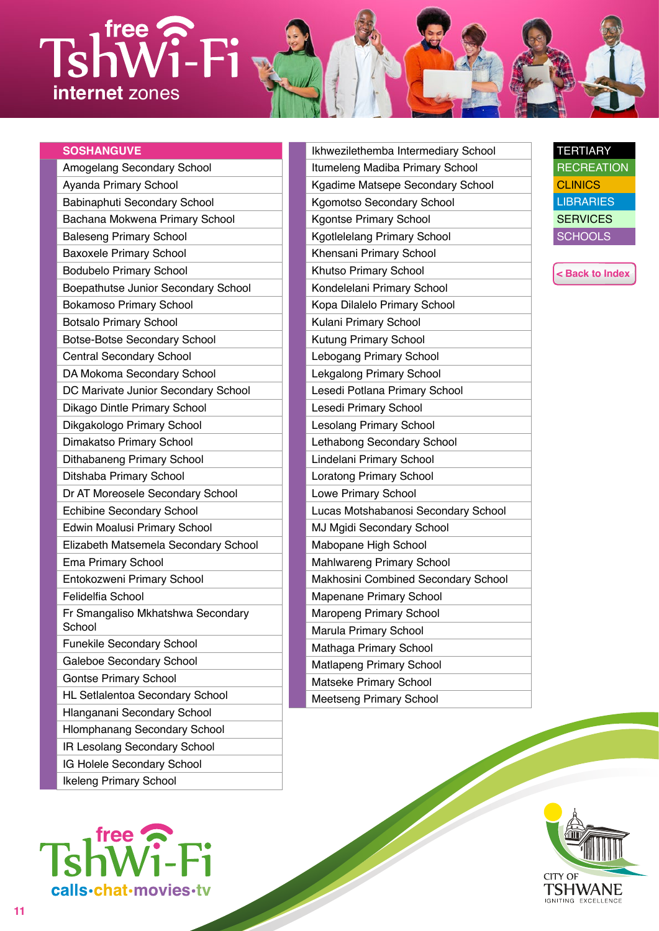| <b>SOSHANGUVE</b> |  |  |
|-------------------|--|--|
|                   |  |  |
|                   |  |  |

| Amogelang Secondary School                  |
|---------------------------------------------|
| Ayanda Primary School                       |
| Babinaphuti Secondary School                |
| Bachana Mokwena Primary School              |
| <b>Baleseng Primary School</b>              |
| <b>Baxoxele Primary School</b>              |
| <b>Bodubelo Primary School</b>              |
| Boepathutse Junior Secondary School         |
| <b>Bokamoso Primary School</b>              |
| <b>Botsalo Primary School</b>               |
| <b>Botse-Botse Secondary School</b>         |
| <b>Central Secondary School</b>             |
| DA Mokoma Secondary School                  |
| DC Marivate Junior Secondary School         |
| Dikago Dintle Primary School                |
| Dikgakologo Primary School                  |
| Dimakatso Primary School                    |
| Dithabaneng Primary School                  |
| Ditshaba Primary School                     |
| Dr AT Moreosele Secondary School            |
| <b>Echibine Secondary School</b>            |
| Edwin Moalusi Primary School                |
| Elizabeth Matsemela Secondary School        |
| Ema Primary School                          |
| Entokozweni Primary School                  |
| Felidelfia School                           |
| Fr Smangaliso Mkhatshwa Secondary<br>School |
| <b>Funekile Secondary School</b>            |
| Galeboe Secondary School                    |
| <b>Gontse Primary School</b>                |
| <b>HL Setlalentoa Secondary School</b>      |
| Hlanganani Secondary School                 |
| <b>Hlomphanang Secondary School</b>         |
| IR Lesolang Secondary School                |
| IG Holele Secondary School                  |
| <b>Ikeleng Primary School</b>               |



Ikhwezilethemba Intermediary School Itumeleng Madiba Primary School Kgadime Matsepe Secondary School Kgomotso Secondary School Kgontse Primary School Kgotlelelang Primary School Khensani Primary School Khutso Primary School Kondelelani Primary School Kopa Dilalelo Primary School Kulani Primary School Kutung Primary School Lebogang Primary School Lekgalong Primary School Lesedi Potlana Primary School Lesedi Primary School Lesolang Primary School Lethabong Secondary School Lindelani Primary School Loratong Primary School Lowe Primary School Lucas Motshabanosi Secondary School MJ Maidi Secondary School Mabopane High School Mahlwareng Primary School Makhosini Combined Secondary School Mapenane Primary School Maropeng Primary School Marula Primary School Mathaga Primary School Matlapeng Primary School Matseke Primary School Meetseng Primary School



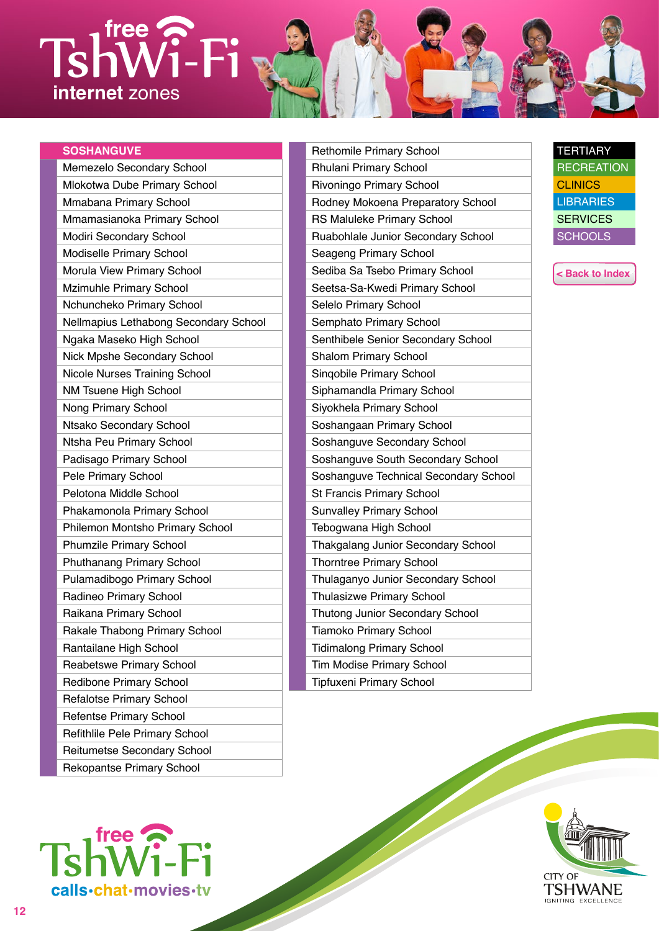|  | <b>SOSHANGUVE</b> |  |  |  |  |
|--|-------------------|--|--|--|--|
|  |                   |  |  |  |  |
|  |                   |  |  |  |  |
|  |                   |  |  |  |  |

Memezelo Secondary School Mlokotwa Dube Primary School Mmabana Primary School Mmamasianoka Primary School Modiri Secondary School Modiselle Primary School Morula View Primary School Mzimuhle Primary School Nchuncheko Primary School Nellmapius Lethabong Secondary School Ngaka Maseko High School Nick Mpshe Secondary School Nicole Nurses Training School NM Tsuene High School Nong Primary School Ntsako Secondary School Ntsha Peu Primary School Padisago Primary School Pele Primary School Pelotona Middle School Phakamonola Primary School Philemon Montsho Primary School Phumzile Primary School Phuthanang Primary School Pulamadibogo Primary School Radineo Primary School Raikana Primary School Rakale Thabong Primary School Rantailane High School Reabetswe Primary School Redibone Primary School Refalotse Primary School Refentse Primary School Refithlile Pele Primary School Reitumetse Secondary School Rekopantse Primary School



Rethomile Primary School Rhulani Primary School Rivoningo Primary School Rodney Mokoena Preparatory School RS Maluleke Primary School Ruabohlale Junior Secondary School Seageng Primary School Sediba Sa Tsebo Primary School Seetsa-Sa-Kwedi Primary School Selelo Primary School Semphato Primary School Senthibele Senior Secondary School Shalom Primary School Sinqobile Primary School Siphamandla Primary School Siyokhela Primary School Soshangaan Primary School Soshanguve Secondary School Soshanguve South Secondary School Soshanguve Technical Secondary School St Francis Primary School Sunvalley Primary School Tebogwana High School Thakgalang Junior Secondary School Thorntree Primary School Thulaganyo Junior Secondary School Thulasizwe Primary School Thutong Junior Secondary School Tiamoko Primary School Tidimalong Primary School Tim Modise Primary School Tipfuxeni Primary School



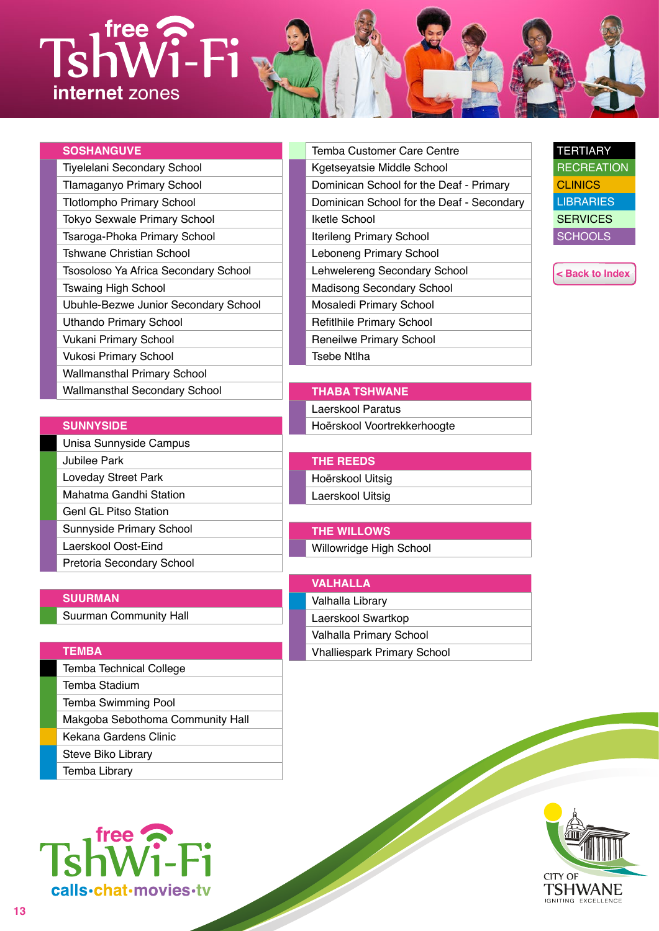#### <span id="page-12-0"></span>**SOSHANGUVE**

Tiyelelani Secondary School Tlamaganyo Primary School Tlotlompho Primary School Tokyo Sexwale Primary School Tsaroga-Phoka Primary School Tshwane Christian School Tsosoloso Ya Africa Secondary School Tswaing High School Ubuhle-Bezwe Junior Secondary School Uthando Primary School Vukani Primary School Vukosi Primary School Wallmansthal Primary School Wallmansthal Secondary School

#### **SUNNYSIDE**

Unisa Sunnyside Campus Jubilee Park Loveday Street Park Mahatma Gandhi Station Genl GL Pitso Station Sunnyside Primary School Laerskool Oost-Eind Pretoria Secondary School

#### **SUURMAN**

Suurman Community Hall

#### **TEMBA**

Temba Technical College Temba Stadium Temba Swimming Pool Makgoba Sebothoma Community Hall Kekana Gardens Clinic Steve Biko Library Temba Library



Temba Customer Care Centre Kgetseyatsie Middle School Dominican School for the Deaf - Primary Dominican School for the Deaf - Secondary Iketle School Iterileng Primary School Leboneng Primary School Lehwelereng Secondary School Madisong Secondary School Mosaledi Primary School Refitlhile Primary School Reneilwe Primary School Tsebe Ntlha

### **THABA TSHWANE**

Laerskool Paratus Hoërskool Voortrekkerhoogte

**THE REEDS** Hoërskool Uitsig

Laerskool Uitsig

**THE WILLOWS** Willowridge High School

### **VALHALLA** Valhalla Library

Laerskool Swartkop Valhalla Primary School Vhalliespark Primary School